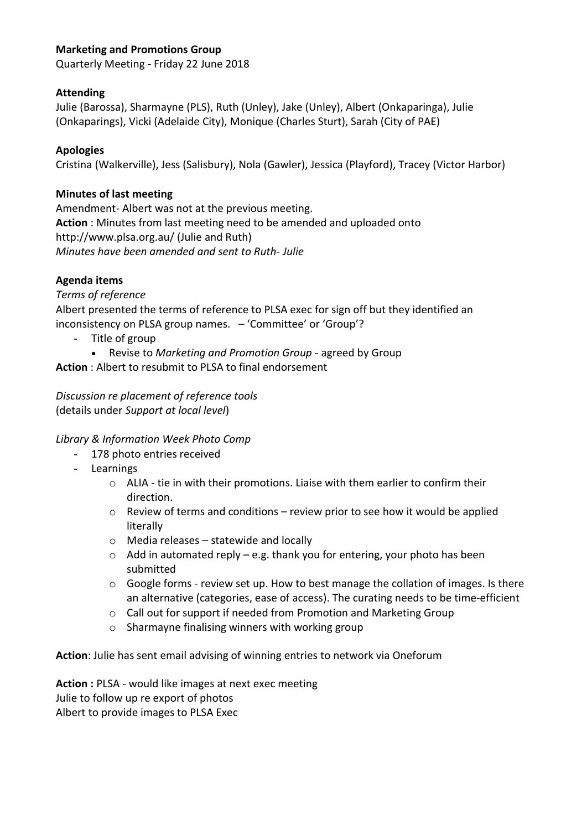# **Marketing and Promotions Group**

Quarterly Meeting - Friday 22 June 2018

## **Attending**

Julie (Barossa), Sharmayne (PLS), Ruth (Unley), Jake (Unley), Albert (Onkaparinga), Julie (Onkaparings), Vicki (Adelaide City), Monique (Charles Sturt), Sarah (City of PAE)

## **Apologies**

Cristina (Walkerville), Jess (Salisbury), Nola (Gawler), Jessica (Playford), Tracey (Victor Harbor)

### **Minutes of last meeting**

Amendment- Albert was not at the previous meeting. **Action** : Minutes from last meeting need to be amended and uploaded onto http://www.plsa.org.au/ (Julie and Ruth) *Minutes have been amended and sent to Ruth- Julie*

## **Agenda items**

#### *Terms of reference*

Albert presented the terms of reference to PLSA exec for sign off but they identified an inconsistency on PLSA group names. – 'Committee' or 'Group'?

- Title of group
	- Revise to *Marketing and Promotion Group* agreed by Group

**Action** : Albert to resubmit to PLSA to final endorsement

*Discussion re placement of reference tools* (details under *Support at local level*)

#### *Library & Information Week Photo Comp*

- 178 photo entries received
- Learnings
	- $\circ$  ALIA tie in with their promotions. Liaise with them earlier to confirm their direction.
	- $\circ$  Review of terms and conditions review prior to see how it would be applied literally
	- o Media releases statewide and locally
	- $\circ$  Add in automated reply e.g. thank you for entering, your photo has been submitted
	- o Google forms review set up. How to best manage the collation of images. Is there an alternative (categories, ease of access). The curating needs to be time-efficient
	- o Call out for support if needed from Promotion and Marketing Group
	- o Sharmayne finalising winners with working group

**Action**: Julie has sent email advising of winning entries to network via Oneforum

**Action :** PLSA - would like images at next exec meeting Julie to follow up re export of photos Albert to provide images to PLSA Exec